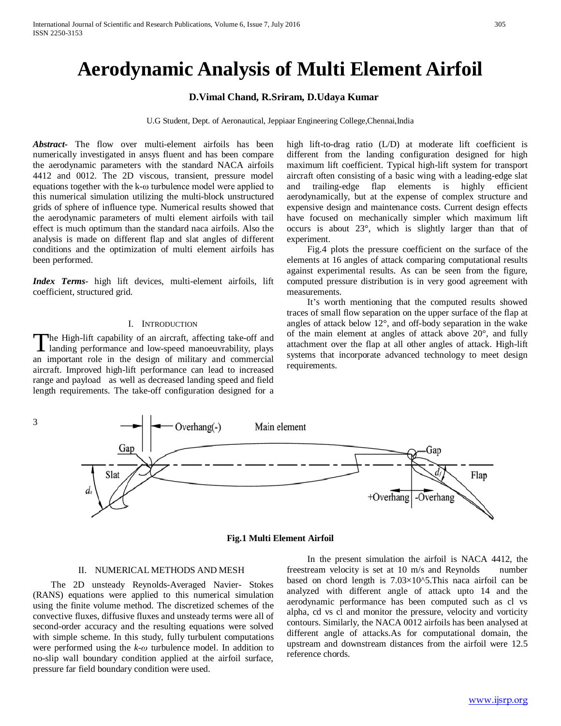# **Aerodynamic Analysis of Multi Element Airfoil**

### **D.Vimal Chand, R.Sriram, D.Udaya Kumar**

U.G Student, Dept. of Aeronautical, Jeppiaar Engineering College,Chennai,India

*Abstract***-** The flow over multi-element airfoils has been numerically investigated in ansys fluent and has been compare the aerodynamic parameters with the standard NACA airfoils 4412 and 0012. The 2D viscous, transient, pressure model equations together with the k-ω turbulence model were applied to this numerical simulation utilizing the multi-block unstructured grids of sphere of influence type. Numerical results showed that the aerodynamic parameters of multi element airfoils with tail effect is much optimum than the standard naca airfoils. Also the analysis is made on different flap and slat angles of different conditions and the optimization of multi element airfoils has been performed.

*Index Terms*- high lift devices, multi-element airfoils, lift coefficient, structured grid.

#### I. INTRODUCTION

The High-lift capability of an aircraft, affecting take-off and The High-lift capability of an aircraft, affecting take-off and landing performance and low-speed manoeuvrability, plays an important role in the design of military and commercial aircraft. Improved high-lift performance can lead to increased range and payload as well as decreased landing speed and field length requirements. The take-off configuration designed for a

high lift-to-drag ratio (L/D) at moderate lift coefficient is different from the landing configuration designed for high maximum lift coefficient. Typical high-lift system for transport aircraft often consisting of a basic wing with a leading-edge slat and trailing-edge flap elements is highly efficient aerodynamically, but at the expense of complex structure and expensive design and maintenance costs. Current design effects have focused on mechanically simpler which maximum lift occurs is about 23°, which is slightly larger than that of experiment.

 Fig.4 plots the pressure coefficient on the surface of the elements at 16 angles of attack comparing computational results against experimental results. As can be seen from the figure, computed pressure distribution is in very good agreement with measurements.

 It's worth mentioning that the computed results showed traces of small flow separation on the upper surface of the flap at angles of attack below 12°, and off-body separation in the wake of the main element at angles of attack above 20°, and fully attachment over the flap at all other angles of attack. High-lift systems that incorporate advanced technology to meet design requirements.



**Fig.1 Multi Element Airfoil**

#### II. NUMERICAL METHODS AND MESH

 The 2D unsteady Reynolds-Averaged Navier- Stokes (RANS) equations were applied to this numerical simulation using the finite volume method. The discretized schemes of the convective fluxes, diffusive fluxes and unsteady terms were all of second-order accuracy and the resulting equations were solved with simple scheme. In this study, fully turbulent computations were performed using the *k-ω* turbulence model. In addition to no-slip wall boundary condition applied at the airfoil surface, pressure far field boundary condition were used.

 In the present simulation the airfoil is NACA 4412, the freestream velocity is set at 10 m/s and Reynolds number based on chord length is  $7.03\times10^{6}$ . This naca airfoil can be analyzed with different angle of attack upto 14 and the aerodynamic performance has been computed such as cl vs alpha, cd vs cl and monitor the pressure, velocity and vorticity contours. Similarly, the NACA 0012 airfoils has been analysed at different angle of attacks.As for computational domain, the upstream and downstream distances from the airfoil were 12.5 reference chords.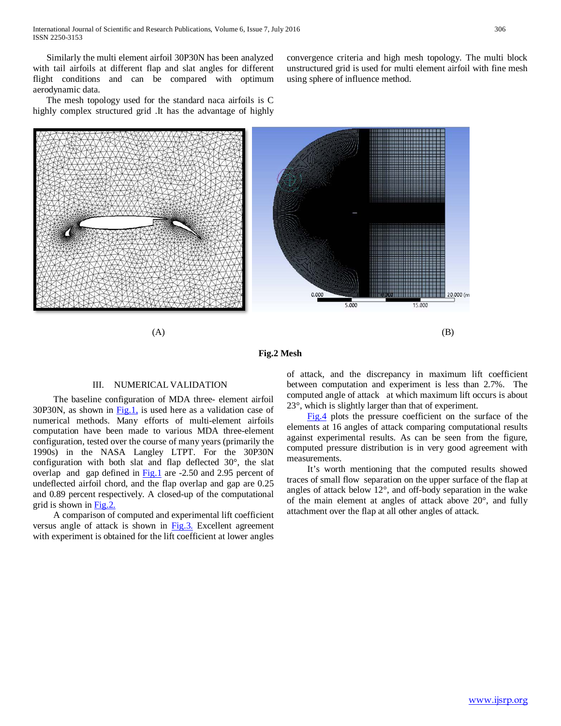Similarly the multi element airfoil 30P30N has been analyzed with tail airfoils at different flap and slat angles for different flight conditions and can be compared with optimum aerodynamic data.

 The mesh topology used for the standard naca airfoils is C highly complex structured grid .It has the advantage of highly convergence criteria and high mesh topology. The multi block unstructured grid is used for multi element airfoil with fine mesh using sphere of influence method.



#### **Fig.2 Mesh**

#### III. NUMERICAL VALIDATION

 The baseline configuration of MDA three- element airfoil 30P30N, as shown in  $Fig.1$ , is used here as a validation case of numerical methods. Many efforts of multi-element airfoils computation have been made to various MDA three-element configuration, tested over the course of many years (primarily the 1990s) in the NASA Langley LTPT. For the 30P30N configuration with both slat and flap deflected 30°, the slat overlap and gap defined in Fig.1 are -2.50 and 2.95 percent of undeflected airfoil chord, and the flap overlap and gap are 0.25 and 0.89 percent respectively. A closed-up of the computational grid is shown in Fig.2.

 A comparison of computed and experimental lift coefficient versus angle of attack is shown in Fig.3. Excellent agreement with experiment is obtained for the lift coefficient at lower angles

of attack, and the discrepancy in maximum lift coefficient between computation and experiment is less than 2.7%. The computed angle of attack at which maximum lift occurs is about 23°, which is slightly larger than that of experiment.

 Fig.4 plots the pressure coefficient on the surface of the elements at 16 angles of attack comparing computational results against experimental results. As can be seen from the figure, computed pressure distribution is in very good agreement with measurements.

 It's worth mentioning that the computed results showed traces of small flow separation on the upper surface of the flap at angles of attack below 12°, and off-body separation in the wake of the main element at angles of attack above 20°, and fully attachment over the flap at all other angles of attack.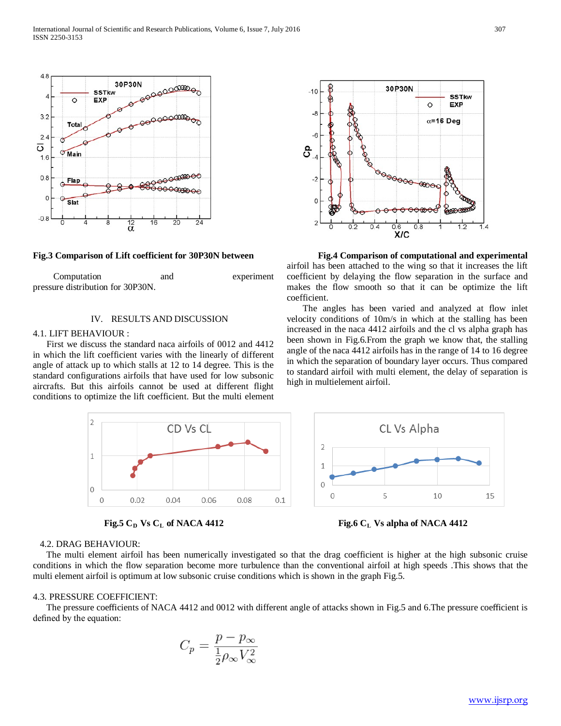

 Computation and experiment pressure distribution for 30P30N.

#### IV. RESULTS AND DISCUSSION

#### 4.1. LIFT BEHAVIOUR :

 First we discuss the standard naca airfoils of 0012 and 4412 in which the lift coefficient varies with the linearly of different angle of attack up to which stalls at 12 to 14 degree. This is the standard configurations airfoils that have used for low subsonic aircrafts. But this airfoils cannot be used at different flight conditions to optimize the lift coefficient. But the multi element





## 30P30N **SSTkw**  $\circ$ EXP  $\alpha = 16$  Deg POOOOO  $rac{1}{\sqrt{2}}$  $0.2$  $0.4$  $\overline{1}$   $\Delta$  $0.8$

**Fig.3 Comparison of Lift coefficient for 30P30N between Fig.4 Comparison of computational and experimental**  airfoil has been attached to the wing so that it increases the lift coefficient by delaying the flow separation in the surface and makes the flow smooth so that it can be optimize the lift coefficient.

> The angles has been varied and analyzed at flow inlet velocity conditions of 10m/s in which at the stalling has been increased in the naca 4412 airfoils and the cl vs alpha graph has been shown in Fig.6.From the graph we know that, the stalling angle of the naca 4412 airfoils has in the range of 14 to 16 degree in which the separation of boundary layer occurs. Thus compared to standard airfoil with multi element, the delay of separation is high in multielement airfoil.



#### 4.2. DRAG BEHAVIOUR:

 The multi element airfoil has been numerically investigated so that the drag coefficient is higher at the high subsonic cruise conditions in which the flow separation become more turbulence than the conventional airfoil at high speeds .This shows that the multi element airfoil is optimum at low subsonic cruise conditions which is shown in the graph Fig.5.

#### 4.3. PRESSURE COEFFICIENT:

 The pressure coefficients of NACA 4412 and 0012 with different angle of attacks shown in Fig.5 and 6.The pressure coefficient is defined by the equation:

$$
C_p = \frac{p - p_{\infty}}{\frac{1}{2}\rho_{\infty}V_{\infty}^2}
$$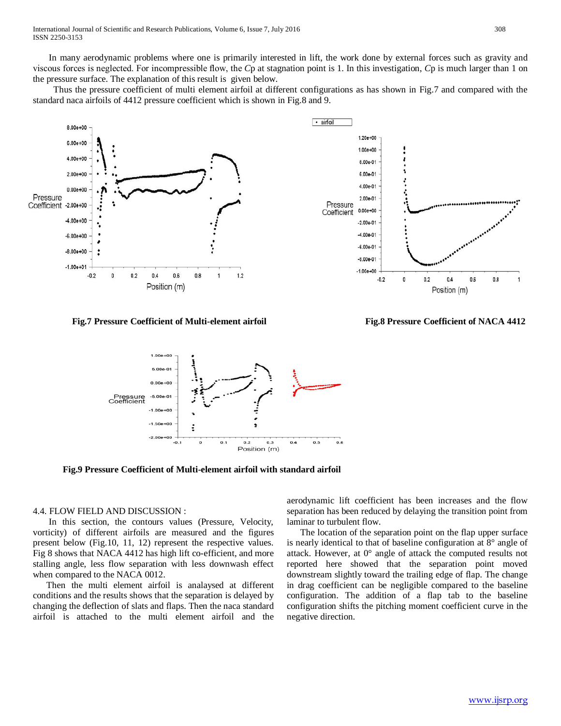In many aerodynamic problems where one is primarily interested in lift, the work done by external forces such as gravity and viscous forces is neglected. For incompressible flow, the *C*p at stagnation point is 1. In this investigation, *C*p is much larger than 1 on the pressure surface. The explanation of this result is given below.

 Thus the pressure coefficient of multi element airfoil at different configurations as has shown in Fig.7 and compared with the standard naca airfoils of 4412 pressure coefficient which is shown in Fig.8 and 9.



**Fig.7 Pressure Coefficient of Multi-element airfoil Fig.8 Pressure Coefficient of NACA 4412**

 $0.4$ 

Position (m)

 $0.6$ 

 $0.8$ 

1



 **Fig.9 Pressure Coefficient of Multi-element airfoil with standard airfoil**

#### 4.4. FLOW FIELD AND DISCUSSION :

 In this section, the contours values (Pressure, Velocity, vorticity) of different airfoils are measured and the figures present below (Fig.10, 11, 12) represent the respective values. Fig 8 shows that NACA 4412 has high lift co-efficient, and more stalling angle, less flow separation with less downwash effect when compared to the NACA 0012.

 Then the multi element airfoil is analaysed at different conditions and the results shows that the separation is delayed by changing the deflection of slats and flaps. Then the naca standard airfoil is attached to the multi element airfoil and the

aerodynamic lift coefficient has been increases and the flow separation has been reduced by delaying the transition point from laminar to turbulent flow.

 The location of the separation point on the flap upper surface is nearly identical to that of baseline configuration at 8° angle of attack. However, at 0° angle of attack the computed results not reported here showed that the separation point moved downstream slightly toward the trailing edge of flap. The change in drag coefficient can be negligible compared to the baseline configuration. The addition of a flap tab to the baseline configuration shifts the pitching moment coefficient curve in the negative direction.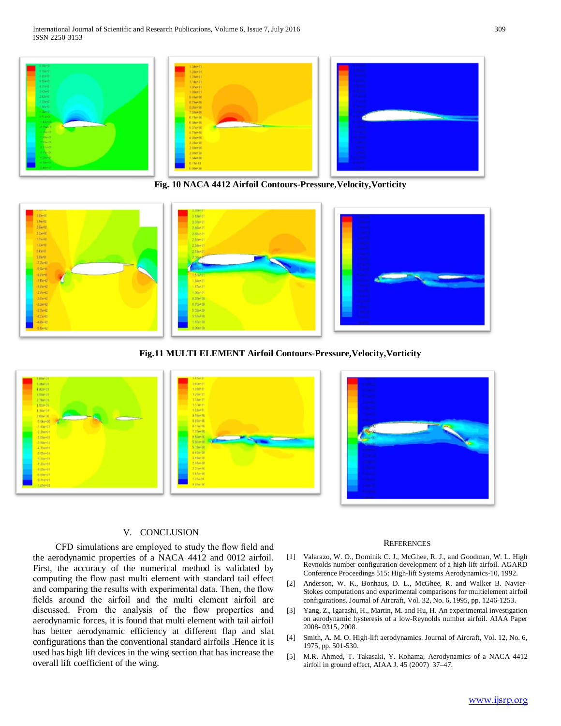

**Fig. 10 NACA 4412 Airfoil Contours-Pressure,Velocity,Vorticity**



**Fig.11 MULTI ELEMENT Airfoil Contours-Pressure,Velocity,Vorticity**



#### V. CONCLUSION

 CFD simulations are employed to study the flow field and the aerodynamic properties of a NACA 4412 and 0012 airfoil. First, the accuracy of the numerical method is validated by computing the flow past multi element with standard tail effect and comparing the results with experimental data. Then, the flow fields around the airfoil and the multi element airfoil are discussed. From the analysis of the flow properties and aerodynamic forces, it is found that multi element with tail airfoil has better aerodynamic efficiency at different flap and slat configurations than the conventional standard airfoils .Hence it is used has high lift devices in the wing section that has increase the overall lift coefficient of the wing.

#### **REFERENCES**

- [1] Valarazo, W. O., Dominik C. J., McGhee, R. J., and Goodman, W. L. High Reynolds number configuration development of a high-lift airfoil. AGARD Conference Proceedings 515: High-lift Systems Aerodynamics-10, 1992.
- [2] Anderson, W. K., Bonhaus, D. L., McGhee, R. and Walker B. Navier-Stokes computations and experimental comparisons for multielement airfoil configurations. Journal of Aircraft, Vol. 32, No. 6, 1995, pp. 1246-1253.
- [3] Yang, Z., Igarashi, H., Martin, M. and Hu, H. An experimental investigation on aerodynamic hysteresis of a low-Reynolds number airfoil. AIAA Paper 2008- 0315, 2008.
- [4] Smith, A. M. O. High-lift aerodynamics. Journal of Aircraft, Vol. 12, No. 6, 1975, pp. 501-530.
- [5] M.R. Ahmed, T. Takasaki, Y. Kohama, Aerodynamics of a NACA 4412 airfoil in ground effect, AIAA J. 45 (2007) 37–47.